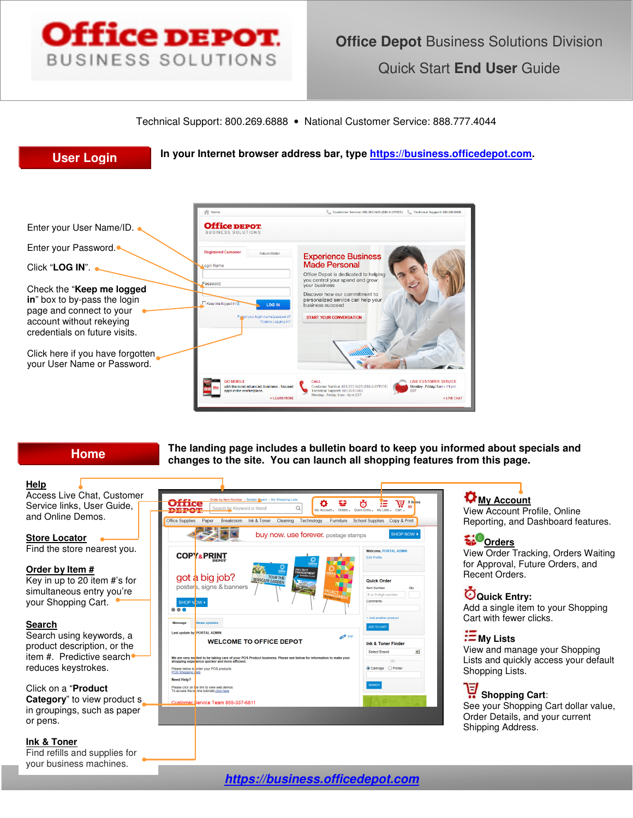

Technical Support: 800.269.6888 • National Customer Service: 888.777.4044



**Home**

#### **Help**

Access Live Chat, Customer Service links, User Guide, and Online Demos.

**Store Locator**  Find the store nearest you.

### **Order by Item #**

Key in up to 20 item #'s for simultaneous entry you're your Shopping Cart.

### **Search**

Search using keywords, a product description, or the item #. Predictive search reduces keystrokes.

## Click on a "**Product**

**Category**" to view product s in groupings, such as paper or pens.

#### **Ink & Toner**

Find refills and supplies for your business machines.



**The landing page includes a bulletin board to keep you informed about specials and** 

**changes to the site. You can launch all shopping features from this page.** 

## **My Account**

View Account Profile, Online Reporting, and Dashboard features.

## **Spoonders**

View Order Tracking, Orders Waiting for Approval, Future Orders, and Recent Orders.

**Quick Entry:** 

Add a single item to your Shopping Cart with fewer clicks.

## **My Lists**

View and manage your Shopping Lists and quickly access your default Shopping Lists.

# **Shopping Cart:**

See your Shopping Cart dollar value, Order Details, and your current Shipping Address.